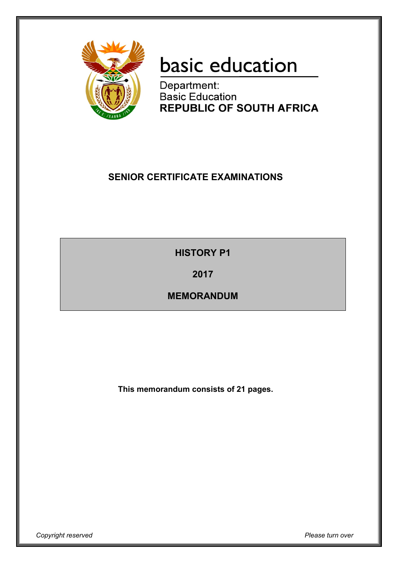

# basic education

Department: **Basic Education REPUBLIC OF SOUTH AFRICA** 

## **SENIOR CERTIFICATE EXAMINATIONS**

**HISTORY P1**

**2017**

**MEMORANDUM**

**This memorandum consists of 21 pages.**

*Copyright reserved Please turn over*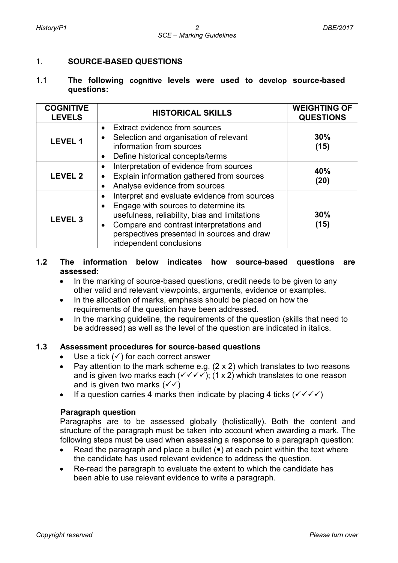#### 1. **SOURCE-BASED QUESTIONS**

#### 1.1 **The following cognitive levels were used to develop source-based questions:**

| <b>COGNITIVE</b><br><b>LEVELS</b> | <b>HISTORICAL SKILLS</b>                                                                                                                                                                                                                                                                          | <b>WEIGHTING OF</b><br><b>QUESTIONS</b> |
|-----------------------------------|---------------------------------------------------------------------------------------------------------------------------------------------------------------------------------------------------------------------------------------------------------------------------------------------------|-----------------------------------------|
| <b>LEVEL 1</b>                    | Extract evidence from sources<br>$\bullet$<br>Selection and organisation of relevant<br>$\bullet$<br>information from sources<br>Define historical concepts/terms<br>$\bullet$                                                                                                                    | 30%<br>(15)                             |
| <b>LEVEL 2</b>                    | Interpretation of evidence from sources<br>$\bullet$<br>Explain information gathered from sources<br>$\bullet$<br>Analyse evidence from sources<br>$\bullet$                                                                                                                                      | 40%<br>(20)                             |
| <b>LEVEL 3</b>                    | Interpret and evaluate evidence from sources<br>$\bullet$<br>Engage with sources to determine its<br>$\bullet$<br>usefulness, reliability, bias and limitations<br>Compare and contrast interpretations and<br>$\bullet$<br>perspectives presented in sources and draw<br>independent conclusions | 30%<br>(15)                             |

## **1.2 The information below indicates how source-based questions are assessed:**

- In the marking of source-based questions, credit needs to be given to any other valid and relevant viewpoints, arguments, evidence or examples.
- In the allocation of marks, emphasis should be placed on how the requirements of the question have been addressed.
- In the marking quideline, the requirements of the question (skills that need to be addressed) as well as the level of the question are indicated in italics.

#### **1.3 Assessment procedures for source-based questions**

- Use a tick  $(\checkmark)$  for each correct answer
- Pay attention to the mark scheme e.g.  $(2 \times 2)$  which translates to two reasons and is given two marks each ( $\checkmark \checkmark \checkmark$ ); (1 x 2) which translates to one reason and is given two marks  $(\sqrt{\sqrt})$
- If a question carries 4 marks then indicate by placing 4 ticks  $(\sqrt{\sqrt{}})$

#### **Paragraph question**

Paragraphs are to be assessed globally (holistically). Both the content and structure of the paragraph must be taken into account when awarding a mark. The following steps must be used when assessing a response to a paragraph question:

- Read the paragraph and place a bullet  $(\bullet)$  at each point within the text where the candidate has used relevant evidence to address the question.
- Re-read the paragraph to evaluate the extent to which the candidate has been able to use relevant evidence to write a paragraph.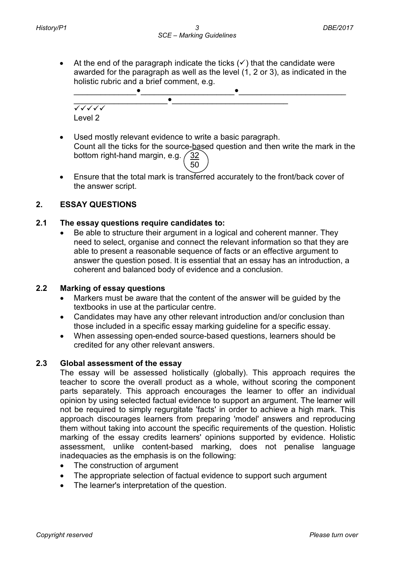• At the end of the paragraph indicate the ticks  $(\checkmark)$  that the candidate were awarded for the paragraph as well as the level (1, 2 or 3), as indicated in the holistic rubric and a brief comment, e.g.



- Used mostly relevant evidence to write a basic paragraph. Count all the ticks for the source-based question and then write the mark in the bottom right-hand margin, e.g.  $\sqrt{32}$  $\sim$  50
- Ensure that the total mark is transferred accurately to the front/back cover of the answer script.

## **2. ESSAY QUESTIONS**

## **2.1 The essay questions require candidates to:**

• Be able to structure their argument in a logical and coherent manner. They need to select, organise and connect the relevant information so that they are able to present a reasonable sequence of facts or an effective argument to answer the question posed. It is essential that an essay has an introduction, a coherent and balanced body of evidence and a conclusion.

#### **2.2 Marking of essay questions**

- Markers must be aware that the content of the answer will be guided by the textbooks in use at the particular centre.
- Candidates may have any other relevant introduction and/or conclusion than those included in a specific essay marking guideline for a specific essay.
- When assessing open-ended source-based questions, learners should be credited for any other relevant answers.

#### **2.3 Global assessment of the essay**

The essay will be assessed holistically (globally). This approach requires the teacher to score the overall product as a whole, without scoring the component parts separately. This approach encourages the learner to offer an individual opinion by using selected factual evidence to support an argument. The learner will not be required to simply regurgitate 'facts' in order to achieve a high mark. This approach discourages learners from preparing 'model' answers and reproducing them without taking into account the specific requirements of the question. Holistic marking of the essay credits learners' opinions supported by evidence. Holistic assessment, unlike content-based marking, does not penalise language inadequacies as the emphasis is on the following:

- The construction of argument
- The appropriate selection of factual evidence to support such argument
- The learner's interpretation of the question.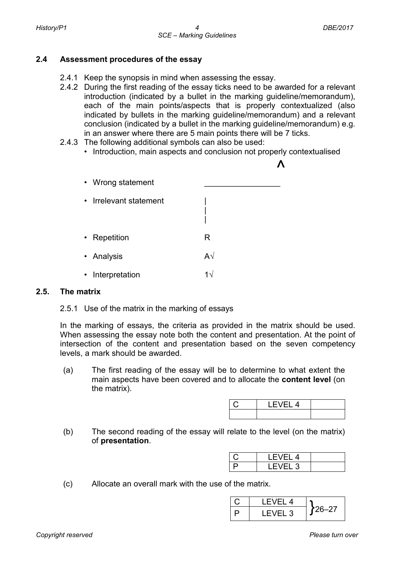#### **2.4 Assessment procedures of the essay**

- 2.4.1 Keep the synopsis in mind when assessing the essay.
- 2.4.2 During the first reading of the essay ticks need to be awarded for a relevant introduction (indicated by a bullet in the marking guideline/memorandum), each of the main points/aspects that is properly contextualized (also indicated by bullets in the marking guideline/memorandum) and a relevant conclusion (indicated by a bullet in the marking guideline/memorandum) e.g. in an answer where there are 5 main points there will be 7 ticks.
- 2.4.3 The following additional symbols can also be used:
	- Introduction, main aspects and conclusion not properly contextualised



#### **2.5. The matrix**

#### 2.5.1 Use of the matrix in the marking of essays

In the marking of essays, the criteria as provided in the matrix should be used. When assessing the essay note both the content and presentation. At the point of intersection of the content and presentation based on the seven competency levels, a mark should be awarded.

(a) The first reading of the essay will be to determine to what extent the main aspects have been covered and to allocate the **content level** (on the matrix).

| 4 |  |
|---|--|
|   |  |

(b) The second reading of the essay will relate to the level (on the matrix) of **presentation**.

| -14 |  |
|-----|--|
| ιä  |  |

(c) Allocate an overall mark with the use of the matrix.

| I FVFI 4 |       |
|----------|-------|
| I FVFI 3 | 26–27 |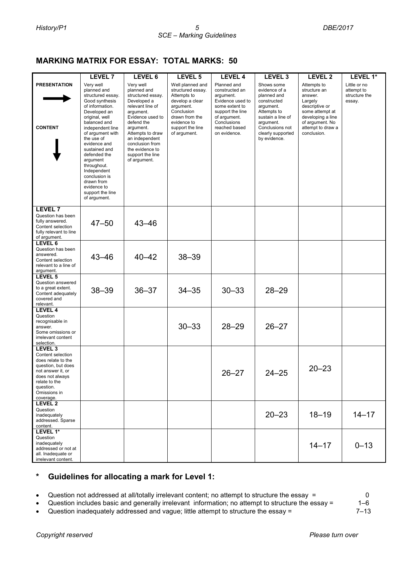## **MARKING MATRIX FOR ESSAY: TOTAL MARKS: 50**

|                                                                                                                                                                                        | <b>LEVEL 7</b>                                                                                                                                                                                                                                                                                                                                                          | LEVEL 6                                                                                                                                                                                                                                                      | LEVEL 5                                                                                                                                                                 | <b>LEVEL 4</b>                                                                                                                                                       | LEVEL <sub>3</sub>                                                                                                                                                              | LEVEL 2                                                                                                                                                            | LEVEL 1*                                              |
|----------------------------------------------------------------------------------------------------------------------------------------------------------------------------------------|-------------------------------------------------------------------------------------------------------------------------------------------------------------------------------------------------------------------------------------------------------------------------------------------------------------------------------------------------------------------------|--------------------------------------------------------------------------------------------------------------------------------------------------------------------------------------------------------------------------------------------------------------|-------------------------------------------------------------------------------------------------------------------------------------------------------------------------|----------------------------------------------------------------------------------------------------------------------------------------------------------------------|---------------------------------------------------------------------------------------------------------------------------------------------------------------------------------|--------------------------------------------------------------------------------------------------------------------------------------------------------------------|-------------------------------------------------------|
| <b>PRESENTATION</b><br><b>CONTENT</b>                                                                                                                                                  | Very well<br>planned and<br>structured essay.<br>Good synthesis<br>of information.<br>Developed an<br>original, well<br>balanced and<br>independent line<br>of argument with<br>the use of<br>evidence and<br>sustained and<br>defended the<br>argument<br>throughout.<br>Independent<br>conclusion is<br>drawn from<br>evidence to<br>support the line<br>of argument. | Very well<br>planned and<br>structured essay.<br>Developed a<br>relevant line of<br>argument.<br>Evidence used to<br>defend the<br>argument.<br>Attempts to draw<br>an independent<br>conclusion from<br>the evidence to<br>support the line<br>of argument. | Well planned and<br>structured essay.<br>Attempts to<br>develop a clear<br>argument.<br>Conclusion<br>drawn from the<br>evidence to<br>support the line<br>of argument. | Planned and<br>constructed an<br>argument.<br>Evidence used to<br>some extent to<br>support the line<br>of argument.<br>Conclusions<br>reached based<br>on evidence. | Shows some<br>evidence of a<br>planned and<br>constructed<br>argument.<br>Attempts to<br>sustain a line of<br>argument.<br>Conclusions not<br>clearly supported<br>by evidence. | Attempts to<br>structure an<br>answer.<br>Largely<br>descriptive or<br>some attempt at<br>developing a line<br>of argument. No<br>attempt to draw a<br>conclusion. | Little or no<br>attempt to<br>structure the<br>essay. |
| <b>LEVEL 7</b><br>Question has been<br>fully answered.<br>Content selection<br>fully relevant to line<br>of argument.                                                                  | $47 - 50$                                                                                                                                                                                                                                                                                                                                                               | $43 - 46$                                                                                                                                                                                                                                                    |                                                                                                                                                                         |                                                                                                                                                                      |                                                                                                                                                                                 |                                                                                                                                                                    |                                                       |
| LEVEL 6<br>Question has been<br>answered.<br>Content selection<br>relevant to a line of<br>argument.                                                                                   | $43 - 46$                                                                                                                                                                                                                                                                                                                                                               | $40 - 42$                                                                                                                                                                                                                                                    | $38 - 39$                                                                                                                                                               |                                                                                                                                                                      |                                                                                                                                                                                 |                                                                                                                                                                    |                                                       |
| LEVEL <sub>5</sub><br>Question answered<br>to a great extent.<br>Content adequately<br>covered and<br>relevant.                                                                        | $38 - 39$                                                                                                                                                                                                                                                                                                                                                               | $36 - 37$                                                                                                                                                                                                                                                    | $34 - 35$                                                                                                                                                               | $30 - 33$                                                                                                                                                            | $28 - 29$                                                                                                                                                                       |                                                                                                                                                                    |                                                       |
| <b>LEVEL 4</b><br>Question<br>recognisable in<br>answer.<br>Some omissions or<br>irrelevant content<br>selection.                                                                      |                                                                                                                                                                                                                                                                                                                                                                         |                                                                                                                                                                                                                                                              | $30 - 33$                                                                                                                                                               | $28 - 29$                                                                                                                                                            | $26 - 27$                                                                                                                                                                       |                                                                                                                                                                    |                                                       |
| LEVEL <sub>3</sub><br>Content selection<br>does relate to the<br>question, but does<br>not answer it, or<br>does not always<br>relate to the<br>question.<br>Omissions in<br>coverage. |                                                                                                                                                                                                                                                                                                                                                                         |                                                                                                                                                                                                                                                              |                                                                                                                                                                         | $26 - 27$                                                                                                                                                            | $24 - 25$                                                                                                                                                                       | $20 - 23$                                                                                                                                                          |                                                       |
| <b>LEVEL 2</b><br>Question<br>inadequately<br>addressed. Sparse<br>content.                                                                                                            |                                                                                                                                                                                                                                                                                                                                                                         |                                                                                                                                                                                                                                                              |                                                                                                                                                                         |                                                                                                                                                                      | $20 - 23$                                                                                                                                                                       | $18 - 19$                                                                                                                                                          | $14 - 17$                                             |
| LEVEL 1*<br>Question<br>inadequately<br>addressed or not at<br>all. Inadequate or<br>irrelevant content.                                                                               |                                                                                                                                                                                                                                                                                                                                                                         |                                                                                                                                                                                                                                                              |                                                                                                                                                                         |                                                                                                                                                                      |                                                                                                                                                                                 | $14 - 17$                                                                                                                                                          | $0 - 13$                                              |

## **\* Guidelines for allocating a mark for Level 1:**

Question not addressed at all/totally irrelevant content; no attempt to structure the essay = 0

• Question includes basic and generally irrelevant information; no attempt to structure the essay = 1–6

• Question inadequately addressed and vague; little attempt to structure the essay = 7–13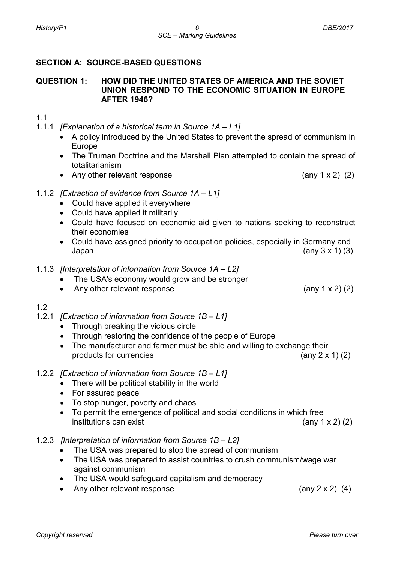## **SECTION A: SOURCE-BASED QUESTIONS**

#### **QUESTION 1: HOW DID THE UNITED STATES OF AMERICA AND THE SOVIET UNION RESPOND TO THE ECONOMIC SITUATION IN EUROPE AFTER 1946?**

## 1.1

- 1.1.1 *[Explanation of a historical term in Source 1A – L1]*
	- A policy introduced by the United States to prevent the spread of communism in Europe
	- The Truman Doctrine and the Marshall Plan attempted to contain the spread of totalitarianism
	- Any other relevant response (any 1 x 2) (2)
- 1.1.2 *[Extraction of evidence from Source 1A – L1]*
	- Could have applied it everywhere
	- Could have applied it militarily
	- Could have focused on economic aid given to nations seeking to reconstruct their economies
	- Could have assigned priority to occupation policies, especially in Germany and Japan  $\qquad \qquad$  (any 3 x 1) (3)
- 1.1.3 *[Interpretation of information from Source 1A – L2]*
	- The USA's economy would grow and be stronger
	- Any other relevant response (any 1 x 2) (2)

#### 1.2

- 1.2.1 *[Extraction of information from Source 1B – L1]*
	- Through breaking the vicious circle
	- Through restoring the confidence of the people of Europe
	- The manufacturer and farmer must be able and willing to exchange their products for currencies (any 2 x 1) (2)
- 1.2.2 *[Extraction of information from Source 1B – L1]*
	- There will be political stability in the world
	- For assured peace
	- To stop hunger, poverty and chaos
	- To permit the emergence of political and social conditions in which free  $\int$  institutions can exist (any 1 x 2) (2)

#### 1.2.3 *[Interpretation of information from Source 1B – L2]*

- The USA was prepared to stop the spread of communism
- The USA was prepared to assist countries to crush communism/wage war against communism
- The USA would safeguard capitalism and democracy
- Any other relevant response (any 2 x 2) (4)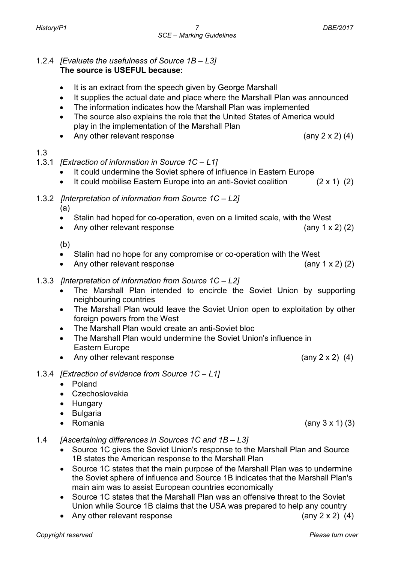#### 1.2.4 *[Evaluate the usefulness of Source 1B – L3]* **The source is USEFUL because:**

- It is an extract from the speech given by George Marshall
- It supplies the actual date and place where the Marshall Plan was announced
- The information indicates how the Marshall Plan was implemented
- The source also explains the role that the United States of America would play in the implementation of the Marshall Plan
- Any other relevant response  $(any 2 x 2) (4)$

## 1.3

- 1.3.1 *[Extraction of information in Source 1C – L1]*
	- It could undermine the Soviet sphere of influence in Eastern Europe
	- It could mobilise Eastern Europe into an anti-Soviet coalition (2 x 1) (2)
- 1.3.2*[Interpretation of information from Source 1C – L2]*

(a)

- Stalin had hoped for co-operation, even on a limited scale, with the West
- Any other relevant response (any 1 x 2) (2)

(b)

- Stalin had no hope for any compromise or co-operation with the West
- Any other relevant response (any 1 x 2) (2)
- 1.3.3 *[Interpretation of information from Source 1C – L2]*
	- The Marshall Plan intended to encircle the Soviet Union by supporting neighbouring countries
	- The Marshall Plan would leave the Soviet Union open to exploitation by other foreign powers from the West
	- The Marshall Plan would create an anti-Soviet bloc
	- The Marshall Plan would undermine the Soviet Union's influence in Eastern Europe
	- Any other relevant response (any 2 x 2) (4)
- 1.3.4 *[Extraction of evidence from Source 1C – L1]*
	- Poland
	- Czechoslovakia
	- Hungary
	- Bulgaria
	- Romania  $(an \sqrt{3} \times 1)$  (3)
- 1.4 *[Ascertaining differences in Sources 1C and 1B – L3]*
	- Source 1C gives the Soviet Union's response to the Marshall Plan and Source 1B states the American response to the Marshall Plan
	- Source 1C states that the main purpose of the Marshall Plan was to undermine the Soviet sphere of influence and Source 1B indicates that the Marshall Plan's main aim was to assist European countries economically
	- Source 1C states that the Marshall Plan was an offensive threat to the Soviet Union while Source 1B claims that the USA was prepared to help any country
	- Any other relevant response  $($ any 2 x 2 $)$  (4)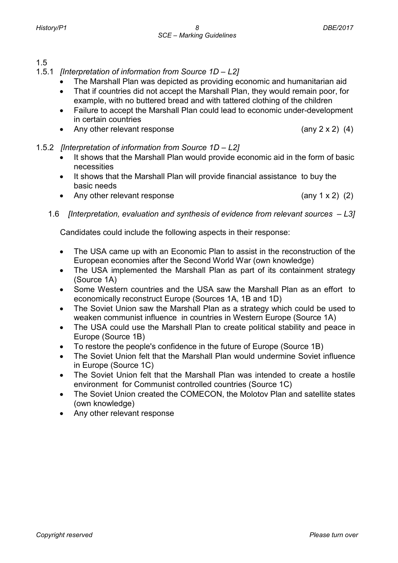1.5

- 1.5.1 *[Interpretation of information from Source 1D – L2]*
	- The Marshall Plan was depicted as providing economic and humanitarian aid
	- That if countries did not accept the Marshall Plan, they would remain poor, for example, with no buttered bread and with tattered clothing of the children
	- Failure to accept the Marshall Plan could lead to economic under-development in certain countries
	- Any other relevant response (any 2 x 2) (4)
- 1.5.2 *[Interpretation of information from Source 1D – L2]*
	- It shows that the Marshall Plan would provide economic aid in the form of basic necessities
	- It shows that the Marshall Plan will provide financial assistance to buy the basic needs
	- Any other relevant response (any 1 x 2) (2)
	- 1.6 *[Interpretation, evaluation and synthesis of evidence from relevant sources – L3]*

Candidates could include the following aspects in their response:

- The USA came up with an Economic Plan to assist in the reconstruction of the European economies after the Second World War (own knowledge)
- The USA implemented the Marshall Plan as part of its containment strategy (Source 1A)
- Some Western countries and the USA saw the Marshall Plan as an effort to economically reconstruct Europe (Sources 1A, 1B and 1D)
- The Soviet Union saw the Marshall Plan as a strategy which could be used to weaken communist influence in countries in Western Europe (Source 1A)
- The USA could use the Marshall Plan to create political stability and peace in Europe (Source 1B)
- To restore the people's confidence in the future of Europe (Source 1B)
- The Soviet Union felt that the Marshall Plan would undermine Soviet influence in Europe (Source 1C)
- The Soviet Union felt that the Marshall Plan was intended to create a hostile environment for Communist controlled countries (Source 1C)
- The Soviet Union created the COMECON, the Molotov Plan and satellite states (own knowledge)
- Any other relevant response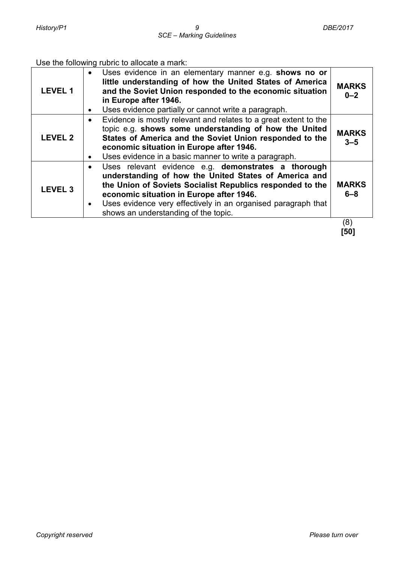Use the following rubric to allocate a mark:

| <b>LEVEL 1</b> | Uses evidence in an elementary manner e.g. shows no or<br>little understanding of how the United States of America<br>and the Soviet Union responded to the economic situation<br>in Europe after 1946.<br>Uses evidence partially or cannot write a paragraph.                                                                | <b>MARKS</b><br>$0 - 2$ |
|----------------|--------------------------------------------------------------------------------------------------------------------------------------------------------------------------------------------------------------------------------------------------------------------------------------------------------------------------------|-------------------------|
| <b>LEVEL 2</b> | Evidence is mostly relevant and relates to a great extent to the<br>topic e.g. shows some understanding of how the United<br>States of America and the Soviet Union responded to the<br>economic situation in Europe after 1946.<br>Uses evidence in a basic manner to write a paragraph.                                      | <b>MARKS</b><br>$3 - 5$ |
| <b>LEVEL 3</b> | Uses relevant evidence e.g. demonstrates a thorough<br>understanding of how the United States of America and<br>the Union of Soviets Socialist Republics responded to the<br>economic situation in Europe after 1946.<br>Uses evidence very effectively in an organised paragraph that<br>shows an understanding of the topic. | <b>MARKS</b><br>$6 - 8$ |
|                |                                                                                                                                                                                                                                                                                                                                | (8)                     |

 **[50]**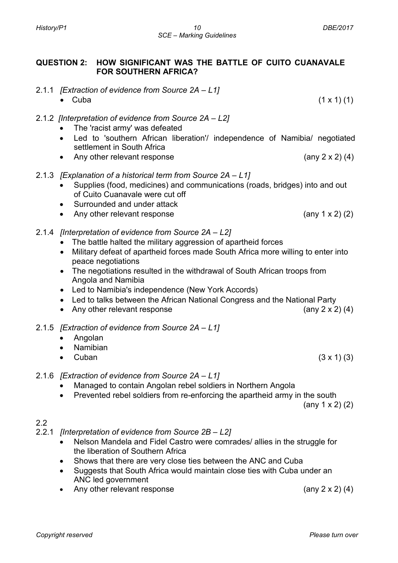## **QUESTION 2: HOW SIGNIFICANT WAS THE BATTLE OF CUITO CUANAVALE FOR SOUTHERN AFRICA?**

- 2.1.1 *[Extraction of evidence from Source 2A – L1]*
	- Cuba (1 x 1) (1)
- 2.1.2 *[Interpretation of evidence from Source 2A – L2]*
	- The 'racist army' was defeated
	- Led to 'southern African liberation'/ independence of Namibia/ negotiated settlement in South Africa
	- Any other relevant response (any 2 x 2) (4)
- 2.1.3 *[Explanation of a historical term from Source 2A – L1]*
	- Supplies (food, medicines) and communications (roads, bridges) into and out of Cuito Cuanavale were cut off
	- Surrounded and under attack
	- Any other relevant response (any 1 x 2) (2)
- 2.1.4 *[Interpretation of evidence from Source 2A – L2]*
	- The battle halted the military aggression of apartheid forces
	- Military defeat of apartheid forces made South Africa more willing to enter into peace negotiations
	- The negotiations resulted in the withdrawal of South African troops from Angola and Namibia
	- Led to Namibia's independence (New York Accords)
	- Led to talks between the African National Congress and the National Party
	- Any other relevant response (any 2 x 2) (4)
- 2.1.5 *[Extraction of evidence from Source 2A – L1]* 
	- Angolan
	- Namibian
	- Cuban  $(3 \times 1)$  (3)
- 2.1.6 *[Extraction of evidence from Source 2A – L1]* 
	- Managed to contain Angolan rebel soldiers in Northern Angola
	- Prevented rebel soldiers from re-enforcing the apartheid army in the south

(any 1 x 2) (2)

## 2.2

- 2.2.1 *[Interpretation of evidence from Source 2B – L2]*
	- Nelson Mandela and Fidel Castro were comrades/ allies in the struggle for the liberation of Southern Africa
	- Shows that there are very close ties between the ANC and Cuba
	- Suggests that South Africa would maintain close ties with Cuba under an ANC led government
	- Any other relevant response (any 2 x 2) (4)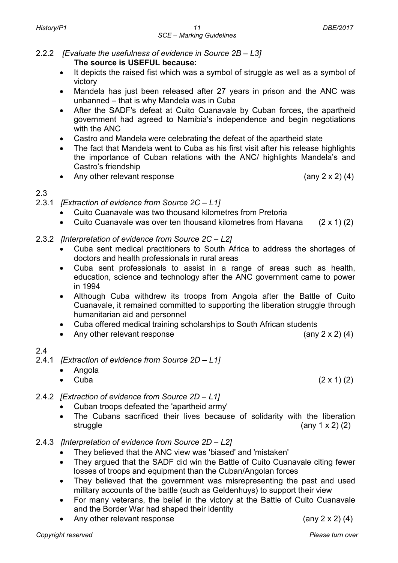#### 2.2.2 *[Evaluate the usefulness of evidence in Source 2B – L3]* **The source is USEFUL because:**

- It depicts the raised fist which was a symbol of struggle as well as a symbol of victory
- Mandela has just been released after 27 years in prison and the ANC was unbanned – that is why Mandela was in Cuba
- After the SADF's defeat at Cuito Cuanavale by Cuban forces, the apartheid government had agreed to Namibia's independence and begin negotiations with the ANC
- Castro and Mandela were celebrating the defeat of the apartheid state
- The fact that Mandela went to Cuba as his first visit after his release highlights the importance of Cuban relations with the ANC/ highlights Mandela's and Castro's friendship
- Any other relevant response (any 2 x 2) (4)

## 2.3

- 2.3.1 *[Extraction of evidence from Source 2C – L1]*
	- Cuito Cuanavale was two thousand kilometres from Pretoria
	- Cuito Cuanavale was over ten thousand kilometres from Havana  $(2 \times 1)$  (2)
- 2.3.2 *[Interpretation of evidence from Source 2C – L2]*
	- Cuba sent medical practitioners to South Africa to address the shortages of doctors and health professionals in rural areas
	- Cuba sent professionals to assist in a range of areas such as health, education, science and technology after the ANC government came to power in 1994
	- Although Cuba withdrew its troops from Angola after the Battle of Cuito Cuanavale, it remained committed to supporting the liberation struggle through humanitarian aid and personnel
	- Cuba offered medical training scholarships to South African students
	- Any other relevant response  $(\text{any } 2 \times 2) (4)$

## 2.4

- 2.4.1 *[Extraction of evidence from Source 2D – L1]*
	- Angola
	- Cuba  $(2 \times 1) (2)$
- 2.4.2 *[Extraction of evidence from Source 2D – L1]*
	- Cuban troops defeated the 'apartheid army'
	- The Cubans sacrificed their lives because of solidarity with the liberation struggle  $(\text{any } 1 \times 2)$   $(2)$
- 2.4.3 *[Interpretation of evidence from Source 2D – L2]*
	- They believed that the ANC view was 'biased' and 'mistaken'
	- They argued that the SADF did win the Battle of Cuito Cuanavale citing fewer losses of troops and equipment than the Cuban/Angolan forces
	- They believed that the government was misrepresenting the past and used military accounts of the battle (such as Geldenhuys) to support their view
	- For many veterans, the belief in the victory at the Battle of Cuito Cuanavale and the Border War had shaped their identity
	- Any other relevant response (any 2 x 2) (4)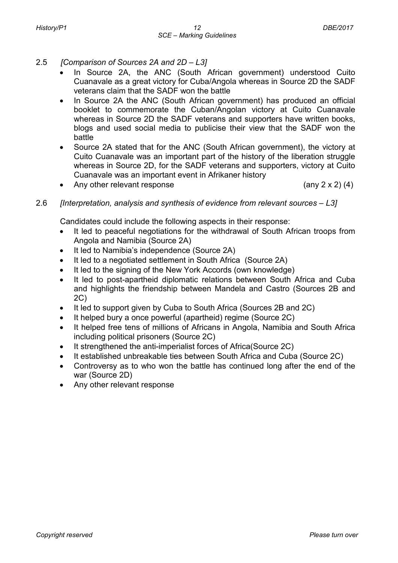- 2.5 *[Comparison of Sources 2A and 2D – L3]*
	- In Source 2A, the ANC (South African government) understood Cuito Cuanavale as a great victory for Cuba/Angola whereas in Source 2D the SADF veterans claim that the SADF won the battle
	- In Source 2A the ANC (South African government) has produced an official booklet to commemorate the Cuban/Angolan victory at Cuito Cuanavale whereas in Source 2D the SADF veterans and supporters have written books, blogs and used social media to publicise their view that the SADF won the battle
	- Source 2A stated that for the ANC (South African government), the victory at Cuito Cuanavale was an important part of the history of the liberation struggle whereas in Source 2D, for the SADF veterans and supporters, victory at Cuito Cuanavale was an important event in Afrikaner history
	- Any other relevant response  $($ any 2 x 2 $)$  (4)

## 2.6 *[Interpretation, analysis and synthesis of evidence from relevant sources – L3]*

Candidates could include the following aspects in their response:

- It led to peaceful negotiations for the withdrawal of South African troops from Angola and Namibia (Source 2A)
- It led to Namibia's independence (Source 2A)
- It led to a negotiated settlement in South Africa (Source 2A)
- It led to the signing of the New York Accords (own knowledge)
- It led to post-apartheid diplomatic relations between South Africa and Cuba and highlights the friendship between Mandela and Castro (Sources 2B and 2C)
- It led to support given by Cuba to South Africa (Sources 2B and 2C)
- It helped bury a once powerful (apartheid) regime (Source 2C)
- It helped free tens of millions of Africans in Angola, Namibia and South Africa including political prisoners (Source 2C)
- It strengthened the anti-imperialist forces of Africa(Source 2C)
- It established unbreakable ties between South Africa and Cuba (Source 2C)
- Controversy as to who won the battle has continued long after the end of the war (Source 2D)
- Any other relevant response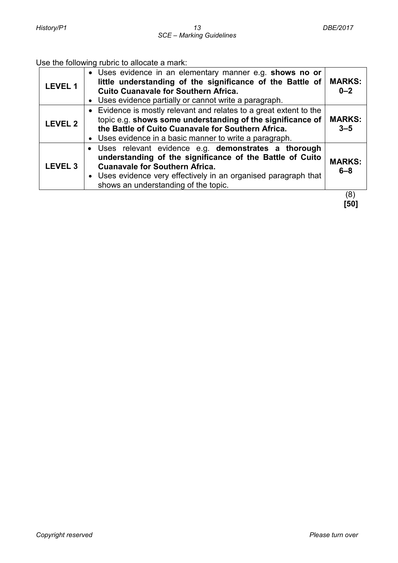## Use the following rubric to allocate a mark:

| <b>LEVEL 1</b>     | • Uses evidence in an elementary manner e.g. shows no or<br>little understanding of the significance of the Battle of<br><b>Cuito Cuanavale for Southern Africa.</b><br>• Uses evidence partially or cannot write a paragraph.                                        | <b>MARKS:</b><br>$0 - 2$ |
|--------------------|-----------------------------------------------------------------------------------------------------------------------------------------------------------------------------------------------------------------------------------------------------------------------|--------------------------|
| <b>LEVEL 2</b>     | • Evidence is mostly relevant and relates to a great extent to the<br>topic e.g. shows some understanding of the significance of<br>the Battle of Cuito Cuanavale for Southern Africa.<br>• Uses evidence in a basic manner to write a paragraph.                     | <b>MARKS:</b><br>$3 - 5$ |
| LEVEL <sub>3</sub> | · Uses relevant evidence e.g. demonstrates a thorough<br>understanding of the significance of the Battle of Cuito<br><b>Cuanavale for Southern Africa.</b><br>• Uses evidence very effectively in an organised paragraph that<br>shows an understanding of the topic. | <b>MARKS:</b><br>$6 - 8$ |
|                    |                                                                                                                                                                                                                                                                       | (8                       |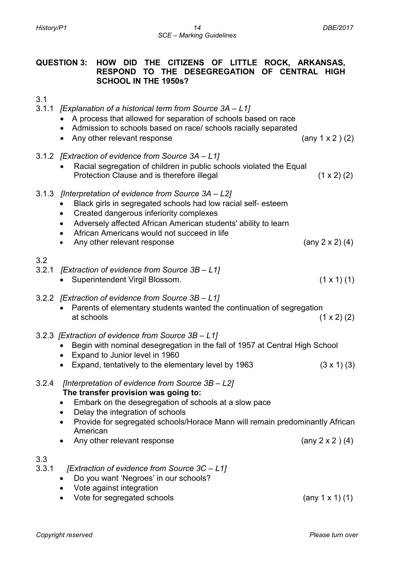#### **QUESTION 3: HOW DID THE CITIZENS OF LITTLE ROCK, ARKANSAS, RESPOND TO THE DESEGREGATION OF CENTRAL HIGH SCHOOL IN THE 1950s?**

3.1

- 3.1.1 *[Explanation of a historical term from Source 3A – L1]*
	- A process that allowed for separation of schools based on race
	- Admission to schools based on race/ schools racially separated
	- Any other relevant response (any 1 x 2 ) (2)
- 3.1.2 *[Extraction of evidence from Source 3A – L1]*
	- Racial segregation of children in public schools violated the Equal Protection Clause and is therefore illegal (1 x 2) (2)
- 3.1.3 *[Interpretation of evidence from Source 3A – L2]*
	- Black girls in segregated schools had low racial self- esteem
	- Created dangerous inferiority complexes
	- Adversely affected African American students' ability to learn
	- African Americans would not succeed in life
	- Any other relevant response (any 2 x 2) (4)
- 3.2
- 3.2.1 *[Extraction of evidence from Source 3B – L1]*
	- Superintendent Virgil Blossom. (1 x 1) (1)
- 3.2.2 *[Extraction of evidence from Source 3B – L1]*
	- Parents of elementary students wanted the continuation of segregation at schools  $(1 \times 2)$  (2)
- 3.2.3 *[Extraction of evidence from Source 3B – L1]*
	- Begin with nominal desegregation in the fall of 1957 at Central High School
	- Expand to Junior level in 1960
	- Expand, tentatively to the elementary level by 1963  $(3 \times 1)$  (3)
- 3.2.4 *[Interpretation of evidence from Source 3B – L2]* **The transfer provision was going to:**
	- Embark on the desegregation of schools at a slow pace
	- Delay the integration of schools
	- Provide for segregated schools/Horace Mann will remain predominantly African American
	- Any other relevant response (any 2 x 2 ) (4)

## 3.3

- 3.3.1 *[Extraction of evidence from Source 3C – L1]*
	- Do you want 'Negroes' in our schools?
	- Vote against integration
	- Vote for segregated schools (any 1 x 1) (1)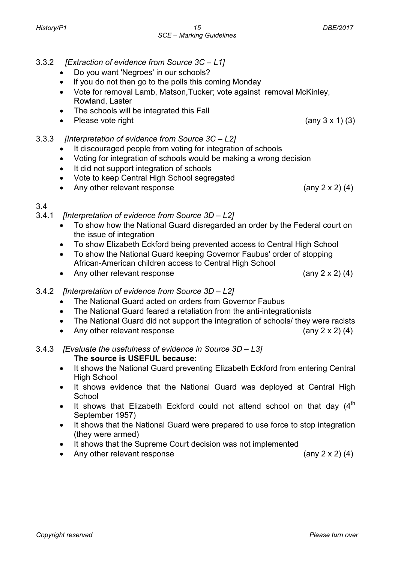- 3.3.2 *[Extraction of evidence from Source 3C – L1]*
	- Do you want 'Negroes' in our schools?
	- If you do not then go to the polls this coming Monday
	- Vote for removal Lamb, Matson,Tucker; vote against removal McKinley, Rowland, Laster

*SCE – Marking Guidelines*

- The schools will be integrated this Fall
- Please vote right  $\qquad \qquad$  (any 3 x 1) (3)
- 3.3.3 *[Interpretation of evidence from Source 3C – L2]*
	- It discouraged people from voting for integration of schools
	- Voting for integration of schools would be making a wrong decision
	- It did not support integration of schools
	- Vote to keep Central High School segregated
	- Any other relevant response (any 2 x 2) (4)
- 3.4
- 3.4.1 *[Interpretation of evidence from Source 3D – L2]*
	- To show how the National Guard disregarded an order by the Federal court on the issue of integration
	- To show Elizabeth Eckford being prevented access to Central High School
	- To show the National Guard keeping Governor Faubus' order of stopping African-American children access to Central High School
	- Any other relevant response  $(any 2 x 2) (4)$
- 3.4.2 *[Interpretation of evidence from Source 3D – L2]*
	- The National Guard acted on orders from Governor Faubus
	- The National Guard feared a retaliation from the anti-integrationists
	- The National Guard did not support the integration of schools/ they were racists
	- Any other relevant response (any 2 x 2) (4)

3.4.3 *[Evaluate the usefulness of evidence in Source 3D – L3]* **The source is USEFUL because:**

- It shows the National Guard preventing Elizabeth Eckford from entering Central High School
- It shows evidence that the National Guard was deployed at Central High School
- It shows that Elizabeth Eckford could not attend school on that day  $(4<sup>th</sup>$ September 1957)
- It shows that the National Guard were prepared to use force to stop integration (they were armed)
- It shows that the Supreme Court decision was not implemented
- Any other relevant response (any 2 x 2) (4)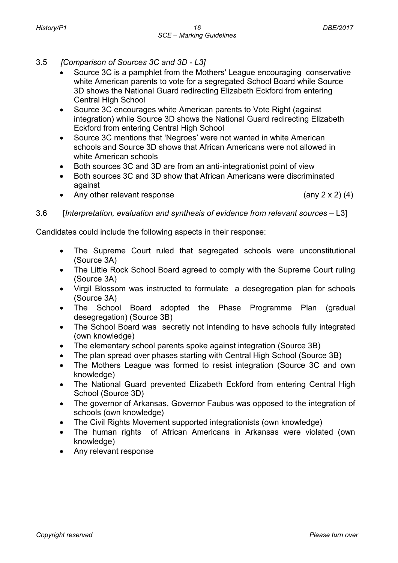- 3.5 *[Comparison of Sources 3C and 3D - L3]*
	- Source 3C is a pamphlet from the Mothers' League encouraging conservative white American parents to vote for a segregated School Board while Source 3D shows the National Guard redirecting Elizabeth Eckford from entering Central High School
	- Source 3C encourages white American parents to Vote Right (against integration) while Source 3D shows the National Guard redirecting Elizabeth Eckford from entering Central High School
	- Source 3C mentions that 'Negroes' were not wanted in white American schools and Source 3D shows that African Americans were not allowed in white American schools
	- Both sources 3C and 3D are from an anti-integrationist point of view
	- Both sources 3C and 3D show that African Americans were discriminated against
	- Any other relevant response (any 2 x 2) (4)

3.6 [*Interpretation, evaluation and synthesis of evidence from relevant sources* – L3]

Candidates could include the following aspects in their response:

- The Supreme Court ruled that segregated schools were unconstitutional (Source 3A)
- The Little Rock School Board agreed to comply with the Supreme Court ruling (Source 3A)
- Virgil Blossom was instructed to formulate a desegregation plan for schools (Source 3A)
- The School Board adopted the Phase Programme Plan (gradual desegregation) (Source 3B)
- The School Board was secretly not intending to have schools fully integrated (own knowledge)
- The elementary school parents spoke against integration (Source 3B)
- The plan spread over phases starting with Central High School (Source 3B)
- The Mothers League was formed to resist integration (Source 3C and own knowledge)
- The National Guard prevented Elizabeth Eckford from entering Central High School (Source 3D)
- The governor of Arkansas, Governor Faubus was opposed to the integration of schools (own knowledge)
- The Civil Rights Movement supported integrationists (own knowledge)
- The human rights of African Americans in Arkansas were violated (own knowledge)
- Any relevant response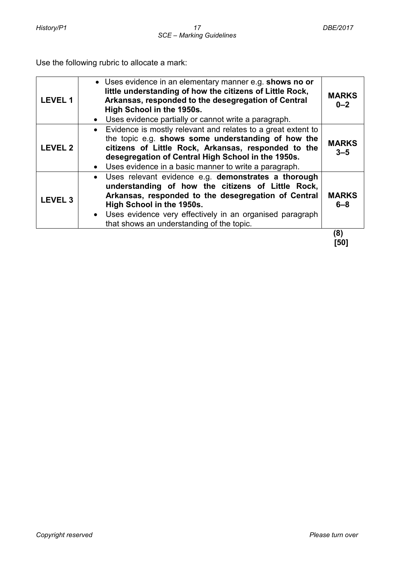Use the following rubric to allocate a mark:

| <b>LEVEL1</b>      | • Uses evidence in an elementary manner e.g. shows no or<br>little understanding of how the citizens of Little Rock,<br>Arkansas, responded to the desegregation of Central<br>High School in the 1950s.<br>Uses evidence partially or cannot write a paragraph.                                                     | <b>MARKS</b><br>$0 - 2$ |
|--------------------|----------------------------------------------------------------------------------------------------------------------------------------------------------------------------------------------------------------------------------------------------------------------------------------------------------------------|-------------------------|
| <b>LEVEL 2</b>     | • Evidence is mostly relevant and relates to a great extent to<br>the topic e.g. shows some understanding of how the<br>citizens of Little Rock, Arkansas, responded to the<br>desegregation of Central High School in the 1950s.<br>• Uses evidence in a basic manner to write a paragraph.                         | <b>MARKS</b><br>$3 - 5$ |
| LEVEL <sub>3</sub> | Uses relevant evidence e.g. demonstrates a thorough<br>$\bullet$<br>understanding of how the citizens of Little Rock,<br>Arkansas, responded to the desegregation of Central<br>High School in the 1950s.<br>• Uses evidence very effectively in an organised paragraph<br>that shows an understanding of the topic. | <b>MARKS</b><br>$6 - 8$ |
|                    |                                                                                                                                                                                                                                                                                                                      | (8)                     |

 **[50]**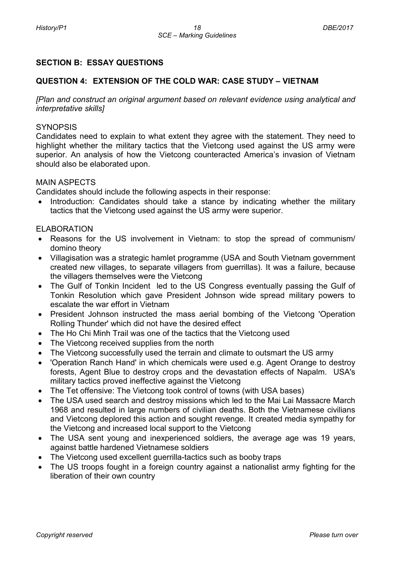## **SECTION B: ESSAY QUESTIONS**

#### **QUESTION 4: EXTENSION OF THE COLD WAR: CASE STUDY – VIETNAM**

*[Plan and construct an original argument based on relevant evidence using analytical and interpretative skills]*

#### **SYNOPSIS**

Candidates need to explain to what extent they agree with the statement. They need to highlight whether the military tactics that the Vietcong used against the US army were superior. An analysis of how the Vietcong counteracted America's invasion of Vietnam should also be elaborated upon.

#### MAIN ASPECTS

Candidates should include the following aspects in their response:

Introduction: Candidates should take a stance by indicating whether the military tactics that the Vietcong used against the US army were superior.

#### ELABORATION

- Reasons for the US involvement in Vietnam: to stop the spread of communism/ domino theory
- Villagisation was a strategic hamlet programme (USA and South Vietnam government created new villages, to separate villagers from guerrillas). It was a failure, because the villagers themselves were the Vietcong
- The Gulf of Tonkin Incident led to the US Congress eventually passing the Gulf of Tonkin Resolution which gave President Johnson wide spread military powers to escalate the war effort in Vietnam
- President Johnson instructed the mass aerial bombing of the Vietcong 'Operation Rolling Thunder' which did not have the desired effect
- The Ho Chi Minh Trail was one of the tactics that the Vietcong used
- The Vietcong received supplies from the north
- The Vietcong successfully used the terrain and climate to outsmart the US army
- 'Operation Ranch Hand' in which chemicals were used e.g. Agent Orange to destroy forests, Agent Blue to destroy crops and the devastation effects of Napalm. USA's military tactics proved ineffective against the Vietcong
- The Tet offensive: The Vietcong took control of towns (with USA bases)
- The USA used search and destroy missions which led to the Mai Lai Massacre March 1968 and resulted in large numbers of civilian deaths. Both the Vietnamese civilians and Vietcong deplored this action and sought revenge. It created media sympathy for the Vietcong and increased local support to the Vietcong
- The USA sent young and inexperienced soldiers, the average age was 19 years, against battle hardened Vietnamese soldiers
- The Vietcong used excellent querrilla-tactics such as booby traps
- The US troops fought in a foreign country against a nationalist army fighting for the liberation of their own country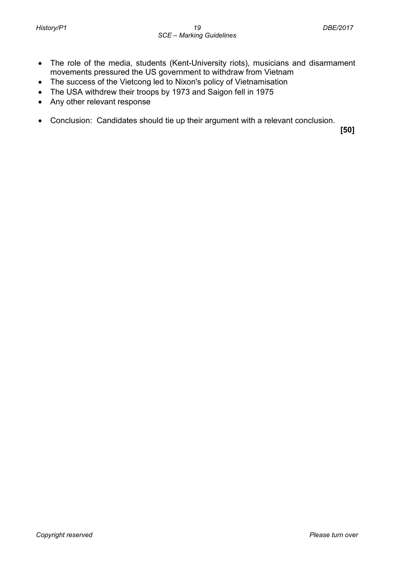- The role of the media, students (Kent-University riots), musicians and disarmament movements pressured the US government to withdraw from Vietnam
- The success of the Vietcong led to Nixon's policy of Vietnamisation
- The USA withdrew their troops by 1973 and Saigon fell in 1975
- Any other relevant response
- Conclusion: Candidates should tie up their argument with a relevant conclusion.

 **[50]**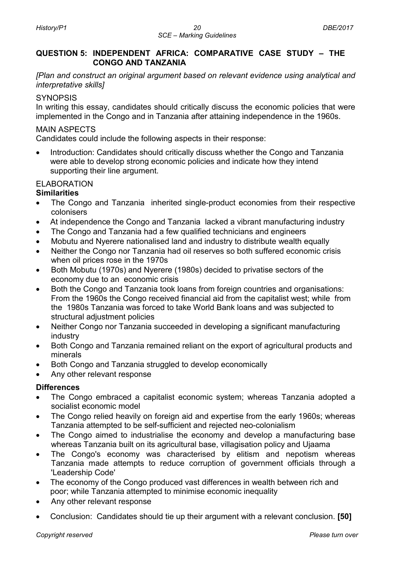#### **QUESTION 5: INDEPENDENT AFRICA: COMPARATIVE CASE STUDY – THE CONGO AND TANZANIA**

*[Plan and construct an original argument based on relevant evidence using analytical and interpretative skills]*

#### **SYNOPSIS**

In writing this essay, candidates should critically discuss the economic policies that were implemented in the Congo and in Tanzania after attaining independence in the 1960s.

## MAIN ASPECTS

Candidates could include the following aspects in their response:

• Introduction: Candidates should critically discuss whether the Congo and Tanzania were able to develop strong economic policies and indicate how they intend supporting their line argument.

## ELABORATION

## **Similarities**

- The Congo and Tanzania inherited single-product economies from their respective colonisers
- At independence the Congo and Tanzania lacked a vibrant manufacturing industry
- The Congo and Tanzania had a few qualified technicians and engineers
- Mobutu and Nyerere nationalised land and industry to distribute wealth equally
- Neither the Congo nor Tanzania had oil reserves so both suffered economic crisis when oil prices rose in the 1970s
- Both Mobutu (1970s) and Nyerere (1980s) decided to privatise sectors of the economy due to an economic crisis
- Both the Congo and Tanzania took loans from foreign countries and organisations: From the 1960s the Congo received financial aid from the capitalist west; while from the 1980s Tanzania was forced to take World Bank loans and was subjected to structural adjustment policies
- Neither Congo nor Tanzania succeeded in developing a significant manufacturing industry
- Both Congo and Tanzania remained reliant on the export of agricultural products and minerals
- Both Congo and Tanzania struggled to develop economically
- Any other relevant response

## **Differences**

- The Congo embraced a capitalist economic system; whereas Tanzania adopted a socialist economic model
- The Congo relied heavily on foreign aid and expertise from the early 1960s; whereas Tanzania attempted to be self-sufficient and rejected neo-colonialism
- The Congo aimed to industrialise the economy and develop a manufacturing base whereas Tanzania built on its agricultural base, villagisation policy and Ujaama
- The Congo's economy was characterised by elitism and nepotism whereas Tanzania made attempts to reduce corruption of government officials through a 'Leadership Code'
- The economy of the Congo produced vast differences in wealth between rich and poor; while Tanzania attempted to minimise economic inequality
- Any other relevant response
- Conclusion: Candidates should tie up their argument with a relevant conclusion. **[50]**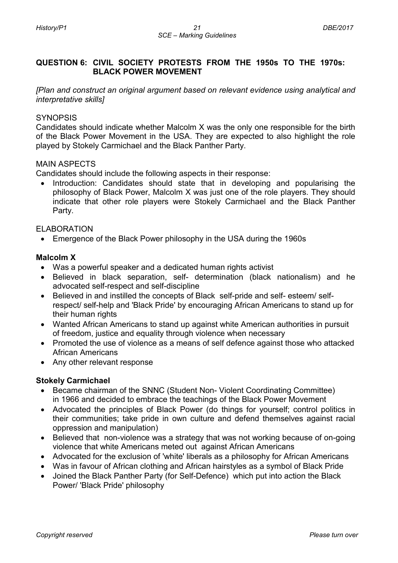## **QUESTION 6: CIVIL SOCIETY PROTESTS FROM THE 1950s TO THE 1970s: BLACK POWER MOVEMENT**

*[Plan and construct an original argument based on relevant evidence using analytical and interpretative skills]*

## **SYNOPSIS**

Candidates should indicate whether Malcolm X was the only one responsible for the birth of the Black Power Movement in the USA. They are expected to also highlight the role played by Stokely Carmichael and the Black Panther Party.

## MAIN ASPECTS

Candidates should include the following aspects in their response:

• Introduction: Candidates should state that in developing and popularising the philosophy of Black Power, Malcolm X was just one of the role players. They should indicate that other role players were Stokely Carmichael and the Black Panther Party.

## ELABORATION

• Emergence of the Black Power philosophy in the USA during the 1960s

#### **Malcolm X**

- Was a powerful speaker and a dedicated human rights activist
- Believed in black separation, self- determination (black nationalism) and he advocated self-respect and self-discipline
- Believed in and instilled the concepts of Black self-pride and self- esteem/ selfrespect/ self-help and 'Black Pride' by encouraging African Americans to stand up for their human rights
- Wanted African Americans to stand up against white American authorities in pursuit of freedom, justice and equality through violence when necessary
- Promoted the use of violence as a means of self defence against those who attacked African Americans
- Any other relevant response

#### **Stokely Carmichael**

- Became chairman of the SNNC (Student Non- Violent Coordinating Committee) in 1966 and decided to embrace the teachings of the Black Power Movement
- Advocated the principles of Black Power (do things for yourself; control politics in their communities; take pride in own culture and defend themselves against racial oppression and manipulation)
- Believed that non-violence was a strategy that was not working because of on-going violence that white Americans meted out against African Americans
- Advocated for the exclusion of 'white' liberals as a philosophy for African Americans
- Was in favour of African clothing and African hairstyles as a symbol of Black Pride
- Joined the Black Panther Party (for Self-Defence) which put into action the Black Power/ 'Black Pride' philosophy